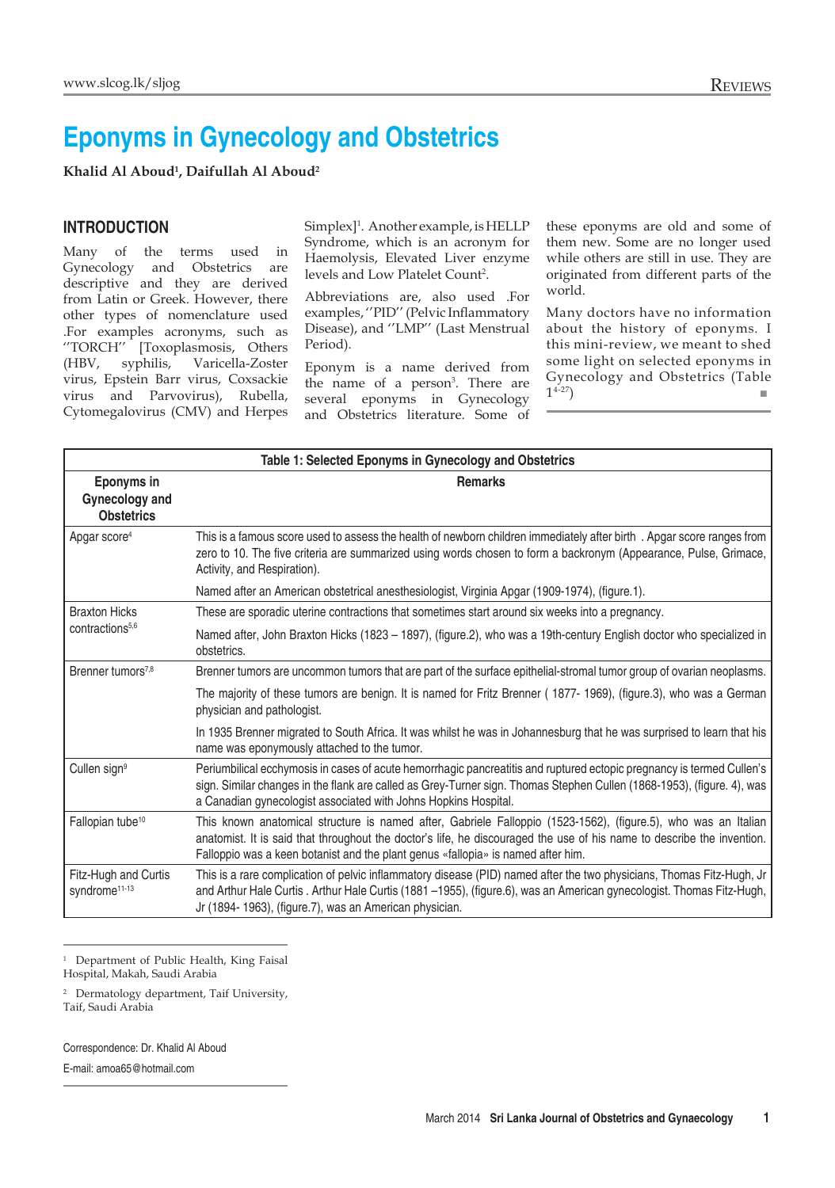## **Eponyms in Gynecology and Obstetrics**

**Khalid Al Aboud1 , Daifullah Al Aboud2**

## **Introduction**

Many of the terms used in Gynecology and Obstetrics are descriptive and they are derived from Latin or Greek. However, there other types of nomenclature used .For examples acronyms, such as ''TORCH'' [Toxoplasmosis, Others (HBV, syphilis, Varicella-Zoster virus, Epstein Barr virus, Coxsackie virus and Parvovirus), Rubella, Cytomegalovirus (CMV) and Herpes

Simplex]<sup>1</sup>. Another example, is HELLP Syndrome, which is an acronym for Haemolysis, Elevated Liver enzyme levels and Low Platelet Count<sup>2</sup>.

Abbreviations are, also used .For examples, ''PID'' (Pelvic Inflammatory Disease), and ''LMP'' (Last Menstrual Period).

Eponym is a name derived from the name of a person<sup>3</sup>. There are several eponyms in Gynecology and Obstetrics literature. Some of

these eponyms are old and some of them new. Some are no longer used while others are still in use. They are originated from different parts of the world.

Many doctors have no information about the history of eponyms. I this mini-review, we meant to shed some light on selected eponyms in Gynecology and Obstetrics (Table  $1^{4-27}$ )

| Table 1: Selected Eponyms in Gynecology and Obstetrics   |                                                                                                                                                                                                                                                                                                                              |
|----------------------------------------------------------|------------------------------------------------------------------------------------------------------------------------------------------------------------------------------------------------------------------------------------------------------------------------------------------------------------------------------|
| Eponyms in<br><b>Gynecology and</b><br><b>Obstetrics</b> | <b>Remarks</b>                                                                                                                                                                                                                                                                                                               |
| Apgar score <sup>4</sup>                                 | This is a famous score used to assess the health of newborn children immediately after birth. Apgar score ranges from<br>zero to 10. The five criteria are summarized using words chosen to form a backronym (Appearance, Pulse, Grimace,<br>Activity, and Respiration).                                                     |
|                                                          | Named after an American obstetrical anesthesiologist, Virginia Apgar (1909-1974), (figure.1).                                                                                                                                                                                                                                |
| <b>Braxton Hicks</b><br>contractions <sup>5,6</sup>      | These are sporadic uterine contractions that sometimes start around six weeks into a pregnancy.                                                                                                                                                                                                                              |
|                                                          | Named after, John Braxton Hicks (1823 - 1897), (figure.2), who was a 19th-century English doctor who specialized in<br>obstetrics.                                                                                                                                                                                           |
| Brenner tumors <sup>7,8</sup>                            | Brenner tumors are uncommon tumors that are part of the surface epithelial-stromal tumor group of ovarian neoplasms.                                                                                                                                                                                                         |
|                                                          | The majority of these tumors are benign. It is named for Fritz Brenner (1877-1969), (figure.3), who was a German<br>physician and pathologist.                                                                                                                                                                               |
|                                                          | In 1935 Brenner migrated to South Africa. It was whilst he was in Johannesburg that he was surprised to learn that his<br>name was eponymously attached to the tumor.                                                                                                                                                        |
| Cullen sign <sup>9</sup>                                 | Periumbilical ecchymosis in cases of acute hemorrhagic pancreatitis and ruptured ectopic pregnancy is termed Cullen's<br>sign. Similar changes in the flank are called as Grey-Turner sign. Thomas Stephen Cullen (1868-1953), (figure. 4), was<br>a Canadian gynecologist associated with Johns Hopkins Hospital.           |
| Fallopian tube <sup>10</sup>                             | This known anatomical structure is named after, Gabriele Falloppio (1523-1562), (figure.5), who was an Italian<br>anatomist. It is said that throughout the doctor's life, he discouraged the use of his name to describe the invention.<br>Falloppio was a keen botanist and the plant genus «fallopia» is named after him. |
| Fitz-Hugh and Curtis<br>syndrome <sup>11-13</sup>        | This is a rare complication of pelvic inflammatory disease (PID) named after the two physicians, Thomas Fitz-Hugh, Jr<br>and Arthur Hale Curtis . Arthur Hale Curtis (1881 -1955), (figure.6), was an American gynecologist. Thomas Fitz-Hugh,<br>Jr (1894-1963), (figure.7), was an American physician.                     |

<sup>1</sup> Department of Public Health, King Faisal Hospital, Makah, Saudi Arabia

<sup>2</sup> Dermatology department, Taif University,

Taif, Saudi Arabia

Correspondence: Dr. Khalid Al Aboud

E-mail: amoa65@hotmail.com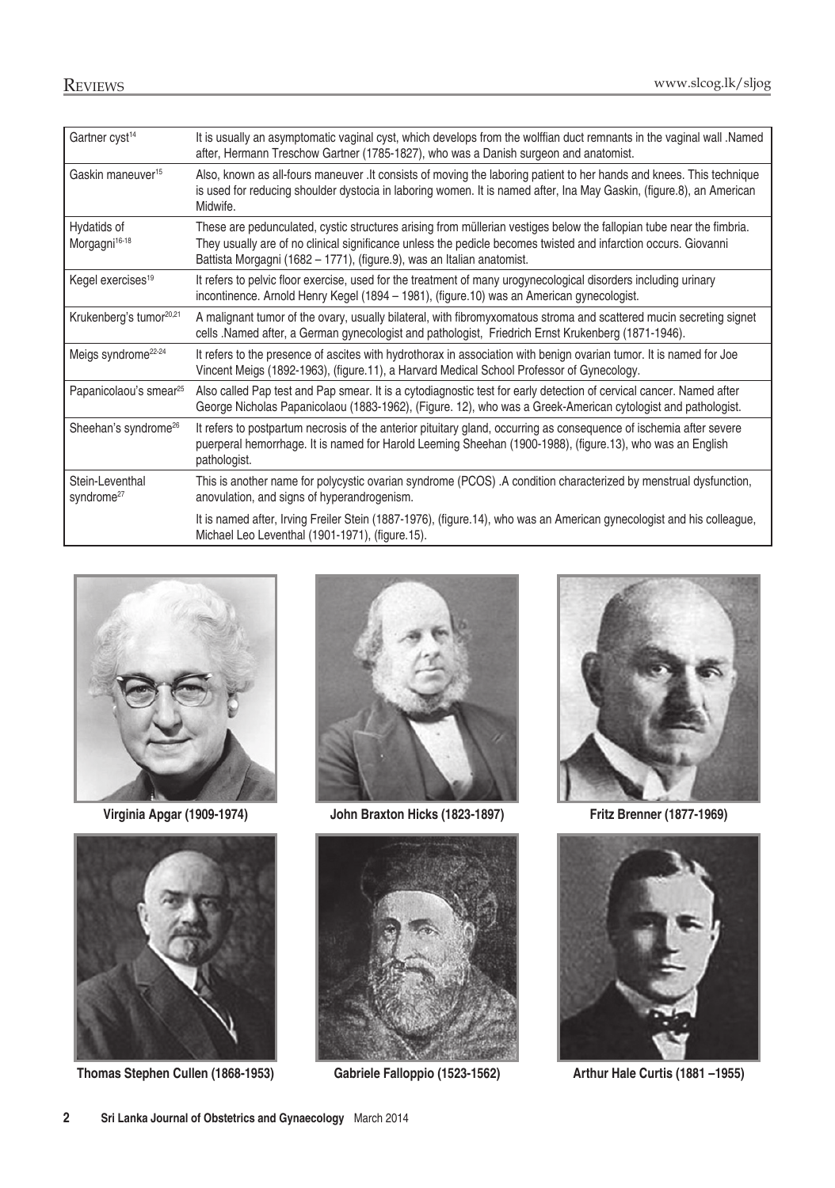| Gartner cyst <sup>14</sup>                | It is usually an asymptomatic vaginal cyst, which develops from the wolffian duct remnants in the vaginal wall Named<br>after, Hermann Treschow Gartner (1785-1827), who was a Danish surgeon and anatomist.                                                                                                      |
|-------------------------------------------|-------------------------------------------------------------------------------------------------------------------------------------------------------------------------------------------------------------------------------------------------------------------------------------------------------------------|
| Gaskin maneuver <sup>15</sup>             | Also, known as all-fours maneuver . It consists of moving the laboring patient to her hands and knees. This technique<br>is used for reducing shoulder dystocia in laboring women. It is named after, Ina May Gaskin, (figure.8), an American<br>Midwife.                                                         |
| Hydatids of<br>Morgagni <sup>16-18</sup>  | These are pedunculated, cystic structures arising from müllerian vestiges below the fallopian tube near the fimbria.<br>They usually are of no clinical significance unless the pedicle becomes twisted and infarction occurs. Giovanni<br>Battista Morgagni (1682 – 1771), (figure.9), was an Italian anatomist. |
| Kegel exercises <sup>19</sup>             | It refers to pelvic floor exercise, used for the treatment of many urogynecological disorders including urinary<br>incontinence. Arnold Henry Kegel (1894 - 1981), (figure.10) was an American gynecologist.                                                                                                      |
| Krukenberg's tumor <sup>20,21</sup>       | A malignant tumor of the ovary, usually bilateral, with fibromyxomatous stroma and scattered mucin secreting signet<br>cells .Named after, a German gynecologist and pathologist, Friedrich Ernst Krukenberg (1871-1946).                                                                                         |
| Meigs syndrome <sup>22-24</sup>           | It refers to the presence of ascites with hydrothorax in association with benign ovarian tumor. It is named for Joe<br>Vincent Meigs (1892-1963), (figure.11), a Harvard Medical School Professor of Gynecology.                                                                                                  |
| Papanicolaou's smear <sup>25</sup>        | Also called Pap test and Pap smear. It is a cytodiagnostic test for early detection of cervical cancer. Named after<br>George Nicholas Papanicolaou (1883-1962), (Figure. 12), who was a Greek-American cytologist and pathologist.                                                                               |
| Sheehan's syndrome <sup>26</sup>          | It refers to postpartum necrosis of the anterior pituitary gland, occurring as consequence of ischemia after severe<br>puerperal hemorrhage. It is named for Harold Leeming Sheehan (1900-1988), (figure.13), who was an English<br>pathologist.                                                                  |
| Stein-Leventhal<br>syndrome <sup>27</sup> | This is another name for polycystic ovarian syndrome (PCOS). A condition characterized by menstrual dysfunction,<br>anovulation, and signs of hyperandrogenism.                                                                                                                                                   |
|                                           | It is named after, Irving Freiler Stein (1887-1976), (figure.14), who was an American gynecologist and his colleague,<br>Michael Leo Leventhal (1901-1971), (figure.15).                                                                                                                                          |





**Thomas Stephen Cullen (1868-1953) Gabriele Falloppio (1523-1562) Arthur Hale Curtis (1881 –1955)**



**Virginia Apgar (1909-1974) John Braxton Hicks (1823-1897) Fritz Brenner (1877-1969)**





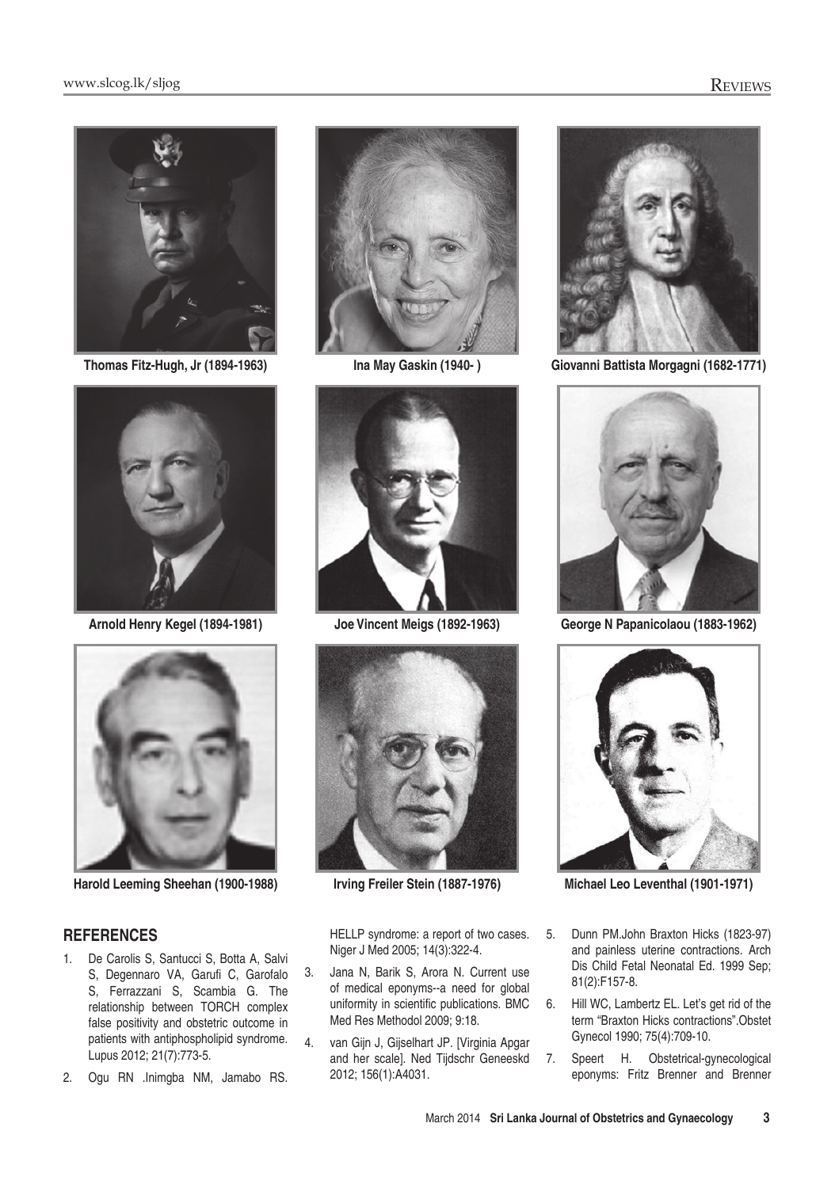





## **References**

- 1. De Carolis S, Santucci S, Botta A, Salvi S, Degennaro VA, Garufi C, Garofalo S, Ferrazzani S, Scambia G. The relationship between TORCH complex false positivity and obstetric outcome in patients with antiphospholipid syndrome. Lupus 2012; 21(7):773-5.
- 2. Ogu RN .Inimgba NM, Jamabo RS.







HELLP syndrome: a report of two cases. Niger J Med 2005; 14(3):322-4.

- 3. Jana N, Barik S, Arora N. Current use of medical eponyms--a need for global uniformity in scientific publications. BMC Med Res Methodol 2009; 9:18.
- 4. van Gijn J, Gijselhart JP. [Virginia Apgar and her scale]. Ned Tijdschr Geneeskd 2012; 156(1):A4031.



**Thomas Fitz-Hugh, Jr (1894-1963) Ina May Gaskin (1940- ) Giovanni Battista Morgagni (1682-1771)**



**Arnold Henry Kegel (1894-1981) Joe Vincent Meigs (1892-1963) George N Papanicolaou (1883-1962)**



**Harold Leeming Sheehan (1900-1988) Irving Freiler Stein (1887-1976) Michael Leo Leventhal (1901-1971)**

- 5. Dunn PM.John Braxton Hicks (1823-97) and painless uterine contractions. Arch Dis Child Fetal Neonatal Ed. 1999 Sep; 81(2):F157-8.
- 6. Hill WC, Lambertz EL. Let's get rid of the term "Braxton Hicks contractions".Obstet Gynecol 1990; 75(4):709-10.
- 7. Speert H. Obstetrical-gynecological eponyms: Fritz Brenner and Brenner